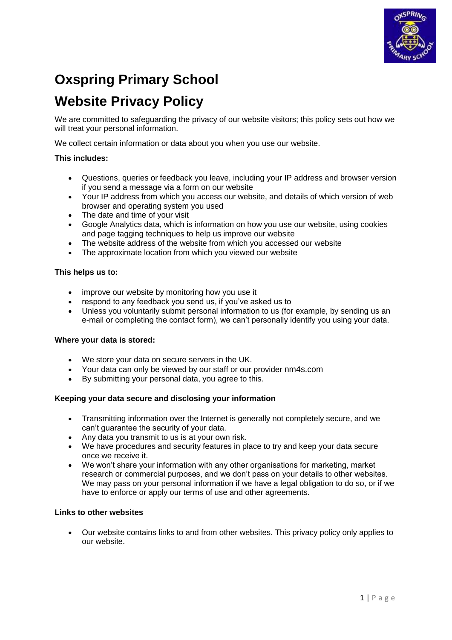

# **Oxspring Primary School**

# **Website Privacy Policy**

We are committed to safeguarding the privacy of our website visitors; this policy sets out how we will treat your personal information.

We collect certain information or data about you when you use our website.

# **This includes:**

- Questions, queries or feedback you leave, including your IP address and browser version if you send a message via a form on our website
- Your IP address from which you access our website, and details of which version of web browser and operating system you used
- The date and time of your visit
- Google Analytics data, which is information on how you use our website, using cookies and page tagging techniques to help us improve our website
- The website address of the website from which you accessed our website
- The approximate location from which you viewed our website

# **This helps us to:**

- improve our website by monitoring how you use it
- respond to any feedback you send us, if you've asked us to
- Unless you voluntarily submit personal information to us (for example, by sending us an e-mail or completing the contact form), we can't personally identify you using your data.

# **Where your data is stored:**

- We store your data on secure servers in the UK.
- Your data can only be viewed by our staff or our provider nm4s.com
- By submitting your personal data, you agree to this.

# **Keeping your data secure and disclosing your information**

- Transmitting information over the Internet is generally not completely secure, and we can't guarantee the security of your data.
- Any data you transmit to us is at your own risk.
- We have procedures and security features in place to try and keep your data secure once we receive it.
- We won't share your information with any other organisations for marketing, market research or commercial purposes, and we don't pass on your details to other websites. We may pass on your personal information if we have a legal obligation to do so, or if we have to enforce or apply our terms of use and other agreements.

# **Links to other websites**

 Our website contains links to and from other websites. This privacy policy only applies to our website.